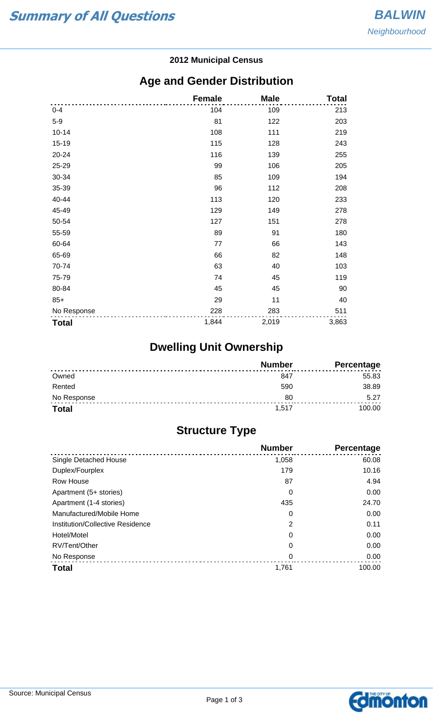#### **2012 Municipal Census**

## **Age and Gender Distribution**

|              | <b>Female</b> | <b>Male</b> | <b>Total</b> |
|--------------|---------------|-------------|--------------|
| $0 - 4$      | 104           | 109         | 213          |
| $5-9$        | 81            | 122         | 203          |
| $10 - 14$    | 108           | 111         | 219          |
| 15-19        | 115           | 128         | 243          |
| 20-24        | 116           | 139         | 255          |
| 25-29        | 99            | 106         | 205          |
| 30-34        | 85            | 109         | 194          |
| 35-39        | 96            | 112         | 208          |
| 40-44        | 113           | 120         | 233          |
| 45-49        | 129           | 149         | 278          |
| 50-54        | 127           | 151         | 278          |
| 55-59        | 89            | 91          | 180          |
| 60-64        | 77            | 66          | 143          |
| 65-69        | 66            | 82          | 148          |
| 70-74        | 63            | 40          | 103          |
| 75-79        | 74            | 45          | 119          |
| 80-84        | 45            | 45          | 90           |
| $85+$        | 29            | 11          | 40           |
| No Response  | 228           | 283         | 511          |
| <b>Total</b> | 1,844         | 2,019       | 3,863        |

# **Dwelling Unit Ownership**

|              | <b>Number</b> | Percentage |
|--------------|---------------|------------|
| Owned        | 847           | 55.83      |
| Rented       | 590           | 38.89      |
| No Response  | 80            | 5.27       |
| <b>Total</b> | 1.517         | 100.00     |

## **Structure Type**

|                                  | <b>Number</b> | Percentage |
|----------------------------------|---------------|------------|
| Single Detached House            | 1,058         | 60.08      |
| Duplex/Fourplex                  | 179           | 10.16      |
| Row House                        | 87            | 4.94       |
| Apartment (5+ stories)           | 0             | 0.00       |
| Apartment (1-4 stories)          | 435           | 24.70      |
| Manufactured/Mobile Home         | 0             | 0.00       |
| Institution/Collective Residence | 2             | 0.11       |
| Hotel/Motel                      | 0             | 0.00       |
| RV/Tent/Other                    | 0             | 0.00       |
| No Response                      | 0             | 0.00       |
| <b>Total</b>                     | 1,761         | 100.00     |

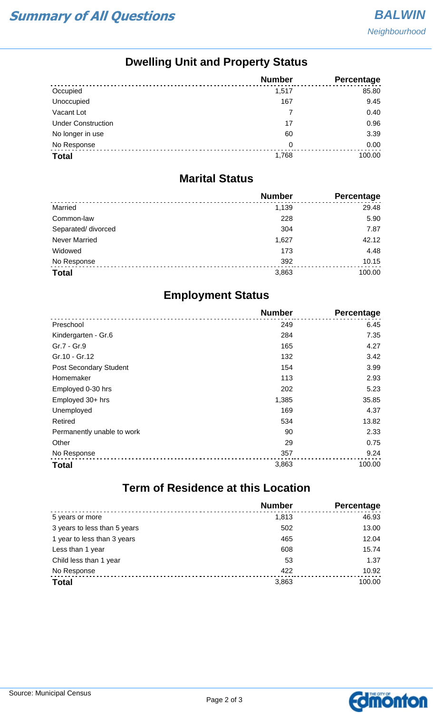## **Dwelling Unit and Property Status**

|                           | <b>Number</b> | Percentage |
|---------------------------|---------------|------------|
| Occupied                  | 1,517         | 85.80      |
| Unoccupied                | 167           | 9.45       |
| Vacant Lot                |               | 0.40       |
| <b>Under Construction</b> | 17            | 0.96       |
| No longer in use          | 60            | 3.39       |
| No Response               | 0             | 0.00       |
| <b>Total</b>              | 1,768         | 100.00     |

#### **Marital Status**

|                      | <b>Number</b> | Percentage |
|----------------------|---------------|------------|
| Married              | 1,139         | 29.48      |
| Common-law           | 228           | 5.90       |
| Separated/ divorced  | 304           | 7.87       |
| <b>Never Married</b> | 1,627         | 42.12      |
| Widowed              | 173           | 4.48       |
| No Response          | 392           | 10.15      |
| <b>Total</b>         | 3,863         | 100.00     |

## **Employment Status**

|                               | <b>Number</b> | Percentage |
|-------------------------------|---------------|------------|
| Preschool                     | 249           | 6.45       |
| Kindergarten - Gr.6           | 284           | 7.35       |
| Gr.7 - Gr.9                   | 165           | 4.27       |
| Gr.10 - Gr.12                 | 132           | 3.42       |
| <b>Post Secondary Student</b> | 154           | 3.99       |
| Homemaker                     | 113           | 2.93       |
| Employed 0-30 hrs             | 202           | 5.23       |
| Employed 30+ hrs              | 1,385         | 35.85      |
| Unemployed                    | 169           | 4.37       |
| Retired                       | 534           | 13.82      |
| Permanently unable to work    | 90            | 2.33       |
| Other                         | 29            | 0.75       |
| No Response                   | 357           | 9.24       |
| <b>Total</b>                  | 3,863         | 100.00     |

# **Term of Residence at this Location**

|                              | <b>Number</b> | Percentage |
|------------------------------|---------------|------------|
| 5 years or more              | 1,813         | 46.93      |
| 3 years to less than 5 years | 502           | 13.00      |
| 1 year to less than 3 years  | 465           | 12.04      |
| Less than 1 year             | 608           | 15.74      |
| Child less than 1 year       | 53            | 1.37       |
| No Response                  | 422           | 10.92      |
| <b>Total</b>                 | 3,863         | 100.00     |